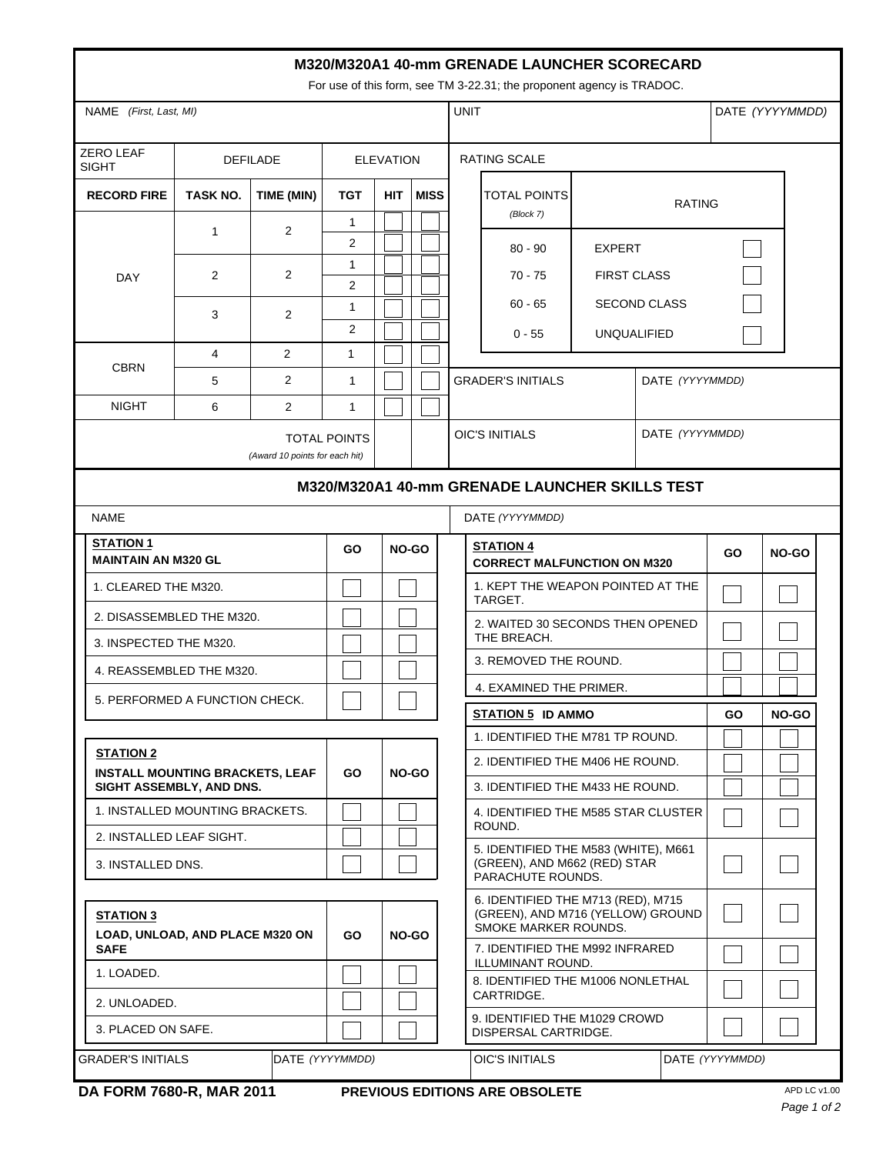| M320/M320A1 40-mm GRENADE LAUNCHER SCORECARD<br>For use of this form, see TM 3-22.31; the proponent agency is TRADOC. |                 |                |                                  |                                               |                                      |                                                   |                                                                                                 |                                     |                 |           |                 |  |
|-----------------------------------------------------------------------------------------------------------------------|-----------------|----------------|----------------------------------|-----------------------------------------------|--------------------------------------|---------------------------------------------------|-------------------------------------------------------------------------------------------------|-------------------------------------|-----------------|-----------|-----------------|--|
| NAME (First, Last, MI)                                                                                                |                 |                |                                  |                                               |                                      |                                                   | <b>UNIT</b>                                                                                     |                                     |                 |           | DATE (YYYYMMDD) |  |
| <b>ZERO LEAF</b><br><b>DEFILADE</b><br><b>SIGHT</b>                                                                   |                 |                |                                  | <b>ELEVATION</b>                              |                                      |                                                   | <b>RATING SCALE</b>                                                                             |                                     |                 |           |                 |  |
| <b>RECORD FIRE</b>                                                                                                    | <b>TASK NO.</b> | TIME (MIN)     | <b>TGT</b>                       | <b>HIT</b>                                    | <b>MISS</b>                          |                                                   | TOTAL POINTS<br><b>RATING</b><br>(Block 7)                                                      |                                     |                 |           |                 |  |
|                                                                                                                       | $\mathbf{1}$    | $\overline{2}$ | $\mathbf{1}$<br>2                |                                               |                                      |                                                   | $80 - 90$                                                                                       |                                     |                 |           |                 |  |
| <b>DAY</b>                                                                                                            | 2               | 2              | 1                                |                                               | $70 - 75$                            |                                                   |                                                                                                 | <b>EXPERT</b><br><b>FIRST CLASS</b> |                 |           |                 |  |
|                                                                                                                       |                 | 2              | 2<br>$\mathbf{1}$                |                                               | $60 - 65$<br><b>SECOND CLASS</b>     |                                                   |                                                                                                 |                                     |                 |           |                 |  |
|                                                                                                                       | 3               |                | 2                                |                                               | <b>UNQUALIFIED</b><br>$0 - 55$       |                                                   |                                                                                                 |                                     |                 |           |                 |  |
| <b>CBRN</b>                                                                                                           | $\overline{4}$  | 2              | $\mathbf{1}$                     |                                               |                                      |                                                   |                                                                                                 |                                     |                 |           |                 |  |
|                                                                                                                       | 5               | $\overline{2}$ | 1                                |                                               |                                      |                                                   | <b>GRADER'S INITIALS</b>                                                                        |                                     | DATE (YYYYMMDD) |           |                 |  |
| <b>NIGHT</b>                                                                                                          | 6               | 2              | 1                                |                                               |                                      |                                                   |                                                                                                 |                                     |                 |           |                 |  |
| (Award 10 points for each hit)                                                                                        |                 |                | <b>TOTAL POINTS</b>              |                                               |                                      |                                                   | DATE (YYYYMMDD)<br><b>OIC'S INITIALS</b>                                                        |                                     |                 |           |                 |  |
| M320/M320A1 40-mm GRENADE LAUNCHER SKILLS TEST                                                                        |                 |                |                                  |                                               |                                      |                                                   |                                                                                                 |                                     |                 |           |                 |  |
| <b>NAME</b><br>DATE (YYYYMMDD)                                                                                        |                 |                |                                  |                                               |                                      |                                                   |                                                                                                 |                                     |                 |           |                 |  |
| <b>STATION 1</b><br><b>MAINTAIN AN M320 GL</b>                                                                        |                 |                | <b>GO</b>                        |                                               | <b>NO-GO</b>                         |                                                   | <b>STATION 4</b><br><b>CORRECT MALFUNCTION ON M320</b>                                          |                                     |                 | <b>GO</b> | <b>NO-GO</b>    |  |
| 1. CLEARED THE M320.                                                                                                  |                 |                |                                  |                                               |                                      |                                                   | 1. KEPT THE WEAPON POINTED AT THE<br>TARGET.                                                    |                                     |                 |           |                 |  |
| 2. DISASSEMBLED THE M320.                                                                                             |                 |                |                                  |                                               |                                      |                                                   | 2. WAITED 30 SECONDS THEN OPENED                                                                |                                     |                 |           |                 |  |
| 3. INSPECTED THE M320.                                                                                                |                 |                |                                  |                                               |                                      |                                                   | THE BREACH.<br>3. REMOVED THE ROUND.                                                            |                                     |                 |           |                 |  |
| 4. REASSEMBLED THE M320.                                                                                              |                 |                |                                  |                                               | 4. EXAMINED THE PRIMER.              |                                                   |                                                                                                 |                                     |                 |           |                 |  |
| 5. PERFORMED A FUNCTION CHECK.                                                                                        |                 |                |                                  |                                               |                                      |                                                   | STATION 5 ID AMMO                                                                               |                                     |                 | GO        | <b>NO-GO</b>    |  |
|                                                                                                                       |                 |                |                                  |                                               |                                      | 1. IDENTIFIED THE M781 TP ROUND.                  |                                                                                                 |                                     |                 |           |                 |  |
| <b>STATION 2</b><br><b>INSTALL MOUNTING BRACKETS, LEAF</b>                                                            |                 |                | GO.                              | NO-GO                                         |                                      |                                                   | 2. IDENTIFIED THE M406 HE ROUND.                                                                |                                     |                 |           |                 |  |
| SIGHT ASSEMBLY, AND DNS.                                                                                              |                 |                | 3. IDENTIFIED THE M433 HE ROUND. |                                               |                                      |                                                   |                                                                                                 |                                     |                 |           |                 |  |
| 1. INSTALLED MOUNTING BRACKETS.                                                                                       |                 |                |                                  | 4. IDENTIFIED THE M585 STAR CLUSTER<br>ROUND. |                                      |                                                   |                                                                                                 |                                     |                 |           |                 |  |
| 2. INSTALLED LEAF SIGHT.                                                                                              |                 |                |                                  |                                               | 5. IDENTIFIED THE M583 (WHITE), M661 |                                                   |                                                                                                 |                                     |                 |           |                 |  |
| 3. INSTALLED DNS.                                                                                                     |                 |                |                                  |                                               |                                      | (GREEN), AND M662 (RED) STAR<br>PARACHUTE ROUNDS. |                                                                                                 |                                     |                 |           |                 |  |
| <b>STATION 3</b><br>LOAD, UNLOAD, AND PLACE M320 ON<br><b>SAFE</b>                                                    |                 |                | GO                               |                                               | NO-GO                                |                                                   | 6. IDENTIFIED THE M713 (RED), M715<br>(GREEN), AND M716 (YELLOW) GROUND<br>SMOKE MARKER ROUNDS. |                                     |                 |           |                 |  |
|                                                                                                                       |                 |                |                                  |                                               |                                      |                                                   | 7. IDENTIFIED THE M992 INFRARED<br>ILLUMINANT ROUND.                                            |                                     |                 |           |                 |  |
| 1. LOADED.<br>2. UNLOADED.                                                                                            |                 |                |                                  |                                               |                                      |                                                   | 8. IDENTIFIED THE M1006 NONLETHAL<br>CARTRIDGE.                                                 |                                     |                 |           |                 |  |
| 3. PLACED ON SAFE.                                                                                                    |                 |                |                                  |                                               |                                      |                                                   | 9. IDENTIFIED THE M1029 CROWD<br>DISPERSAL CARTRIDGE.                                           |                                     |                 |           |                 |  |
| <b>GRADER'S INITIALS</b><br>DATE (YYYYMMDD)                                                                           |                 |                |                                  |                                               |                                      |                                                   | DATE (YYYYMMDD)<br><b>OIC'S INITIALS</b>                                                        |                                     |                 |           |                 |  |